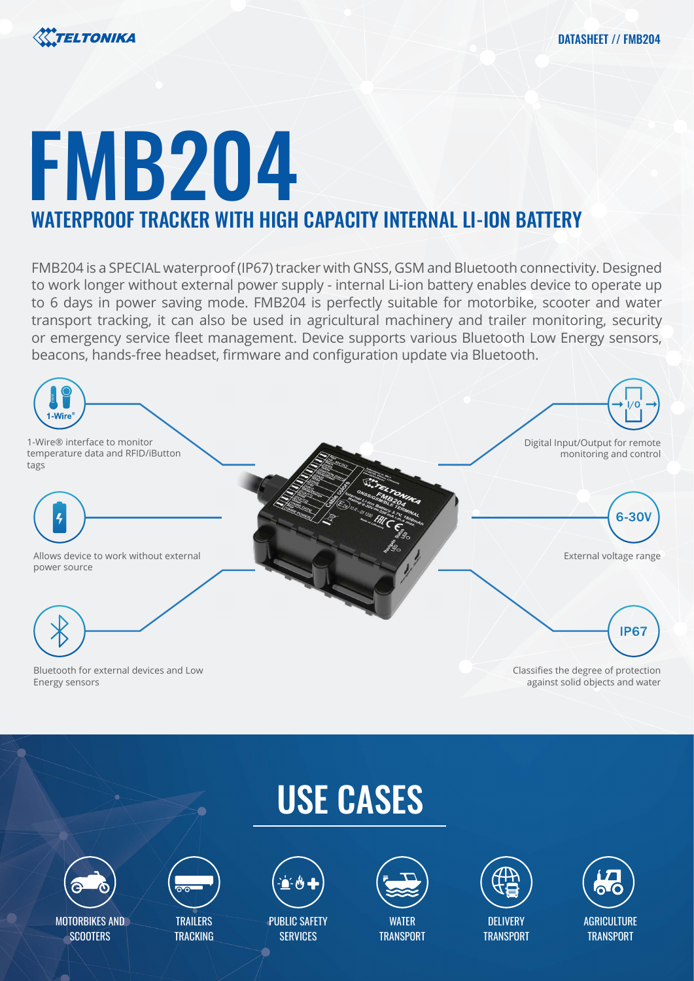

# FMB204 WATERPROOF TRACKER WITH HIGH CAPACITY INTERNAL LI-ION BATTERY

FMB204 is a SPECIAL waterproof (IP67) tracker with GNSS, GSM and Bluetooth connectivity. Designed to work longer without external power supply - internal Li-ion battery enables device to operate up to 6 days in power saving mode. FMB204 is perfectly suitable for motorbike, scooter and water transport tracking, it can also be used in agricultural machinery and trailer monitoring, security or emergency service fleet management. Device supports various Bluetooth Low Energy sensors, beacons, hands-free headset, firmware and configuration update via Bluetooth.



# USE CASES



MOTORBIKES AND **SCOOTERS** 



**TRAILERS TRACKING** 



PUBLIC SAFETY **SERVICES** 



**WATFR TRANSPORT** 



DELIVERY **TRANSPORT** 

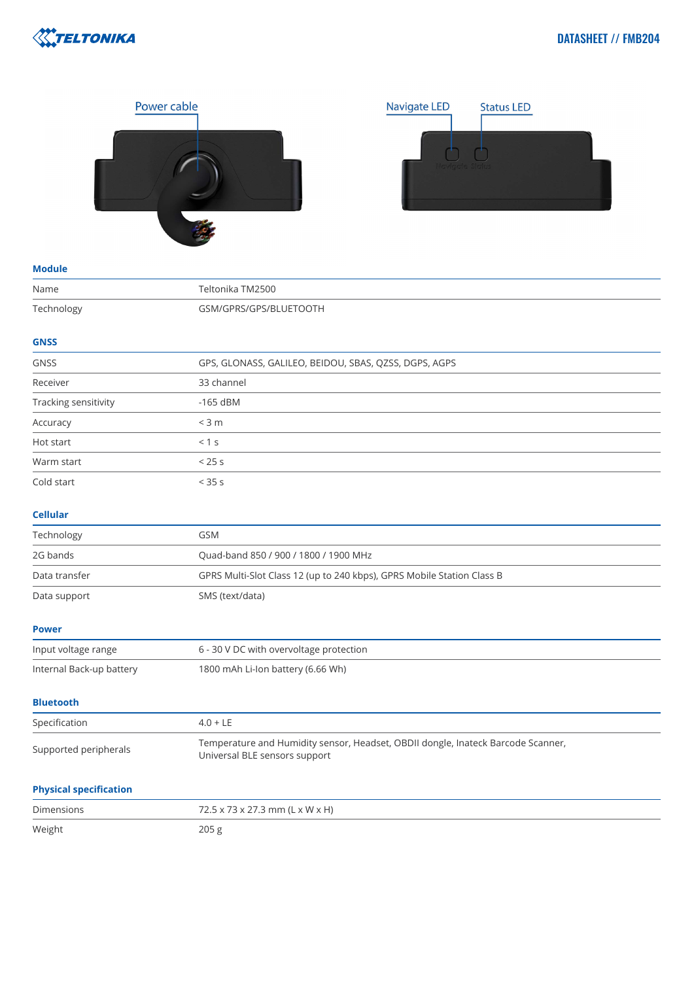





### **Module**

| Name                          | Teltonika TM2500                                                                                                  |
|-------------------------------|-------------------------------------------------------------------------------------------------------------------|
| Technology                    | GSM/GPRS/GPS/BLUETOOTH                                                                                            |
| <b>GNSS</b>                   |                                                                                                                   |
| <b>GNSS</b>                   | GPS, GLONASS, GALILEO, BEIDOU, SBAS, QZSS, DGPS, AGPS                                                             |
| Receiver                      | 33 channel                                                                                                        |
| Tracking sensitivity          | $-165$ dBM                                                                                                        |
| Accuracy                      | $<$ 3 m                                                                                                           |
| Hot start                     | < 1 s                                                                                                             |
| Warm start                    | < 25s                                                                                                             |
| Cold start                    | < 35 s                                                                                                            |
| <b>Cellular</b>               |                                                                                                                   |
| Technology                    | GSM                                                                                                               |
| 2G bands                      | Quad-band 850 / 900 / 1800 / 1900 MHz                                                                             |
| Data transfer                 | GPRS Multi-Slot Class 12 (up to 240 kbps), GPRS Mobile Station Class B                                            |
| Data support                  | SMS (text/data)                                                                                                   |
| <b>Power</b>                  |                                                                                                                   |
| Input voltage range           | 6 - 30 V DC with overvoltage protection                                                                           |
| Internal Back-up battery      | 1800 mAh Li-Ion battery (6.66 Wh)                                                                                 |
| <b>Bluetooth</b>              |                                                                                                                   |
| Specification                 | $4.0 + LE$                                                                                                        |
| Supported peripherals         | Temperature and Humidity sensor, Headset, OBDII dongle, Inateck Barcode Scanner,<br>Universal BLE sensors support |
| <b>Physical specification</b> |                                                                                                                   |
| <b>Dimensions</b>             | 72.5 x 73 x 27.3 mm (L x W x H)                                                                                   |
| Weight                        | 205 g                                                                                                             |